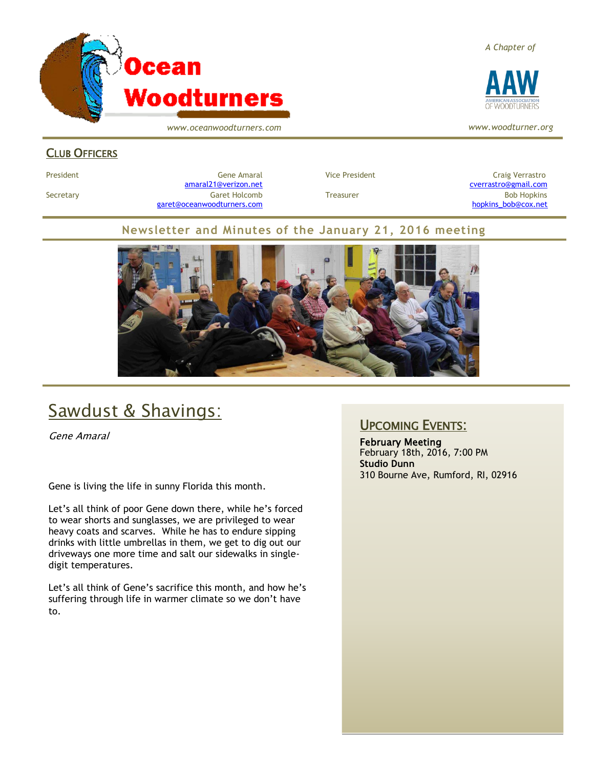

*www.oceanwoodturners.com*

#### *A Chapter of*



*www.woodturner.org*

#### CLUB OFFICERS

President Craig Verrastro Cene Amaral Cene Amaral Cresident Craig Verrastro [amaral21@verizon.net](mailto:amaral21@verizon.net) [cverrastro@gmail.com](mailto:cverrastro@gmail.com) Secretary Garet Holcomb Treasurer Bob Hopkins Bob Hopkins (Bob Hopkins Garet Holcomb [garet@oceanwoodturners.com](mailto:garet@oceanwoodturners.com) and the state of the state of the state of the state of the state of the state of the state of the state of the state of the state of the state of the state of the state of the state of the state

#### **Newsletter and Minutes of the January 21, 2016 meeting**



## Sawdust & Shavings:

Gene Amaral

Gene is living the life in sunny Florida this month.

Let's all think of poor Gene down there, while he's forced to wear shorts and sunglasses, we are privileged to wear heavy coats and scarves. While he has to endure sipping drinks with little umbrellas in them, we get to dig out our driveways one more time and salt our sidewalks in singledigit temperatures.

Let's all think of Gene's sacrifice this month, and how he's suffering through life in warmer climate so we don't have to.

### UPCOMING EVENTS:

February Meeting February 18th, 2016, 7:00 PM **Studio Dunn** 310 Bourne Ave, Rumford, RI, 02916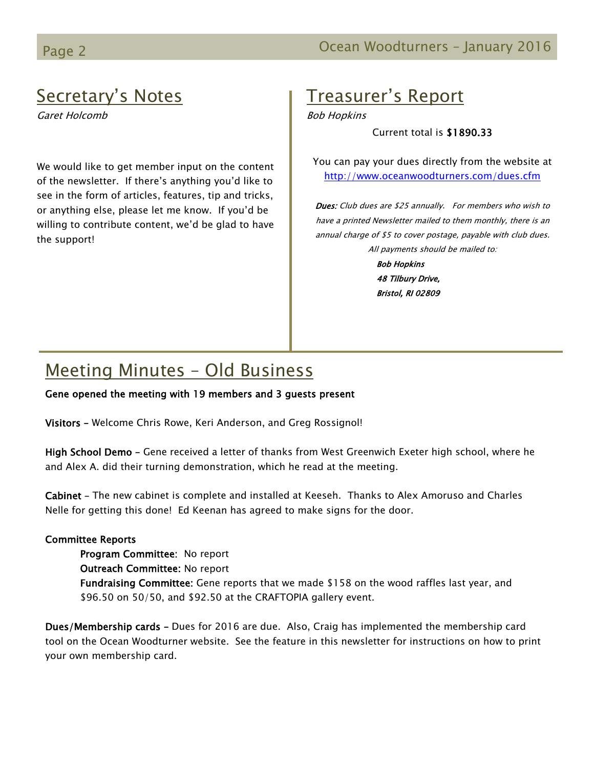### Page 2 **Detail Controller Controller Controller Controller Controller Controller Controller Controller Controller Controller Controller Controller Controller Controller Controller Controller Controller Controller Controlle**

## Secretary's Notes

Garet Holcomb

We would like to get member input on the content of the newsletter. If there's anything you'd like to see in the form of articles, features, tip and tricks, or anything else, please let me know. If you'd be willing to contribute content, we'd be glad to have the support!

### Treasurer's Report

Bob Hopkins

Current total is \$1890.33

You can pay your dues directly from the website at <http://www.oceanwoodturners.com/dues.cfm>

Dues: Club dues are \$25 annually. For members who wish to have a printed Newsletter mailed to them monthly, there is an annual charge of \$5 to cover postage, payable with club dues. All payments should be mailed to: Bob Hopkins

> 48 Tilbury Drive, Bristol, RI 02809

## Meeting Minutes – Old Business

Gene opened the meeting with 19 members and 3 guests present

Visitors – Welcome Chris Rowe, Keri Anderson, and Greg Rossignol!

High School Demo – Gene received a letter of thanks from West Greenwich Exeter high school, where he and Alex A. did their turning demonstration, which he read at the meeting.

Cabinet – The new cabinet is complete and installed at Keeseh. Thanks to Alex Amoruso and Charles Nelle for getting this done! Ed Keenan has agreed to make signs for the door.

#### Committee Reports

Program Committee: No report Outreach Committee: No report Fundraising Committee: Gene reports that we made \$158 on the wood raffles last year, and \$96.50 on 50/50, and \$92.50 at the CRAFTOPIA gallery event.

Dues/Membership cards – Dues for 2016 are due. Also, Craig has implemented the membership card tool on the Ocean Woodturner website. See the feature in this newsletter for instructions on how to print your own membership card.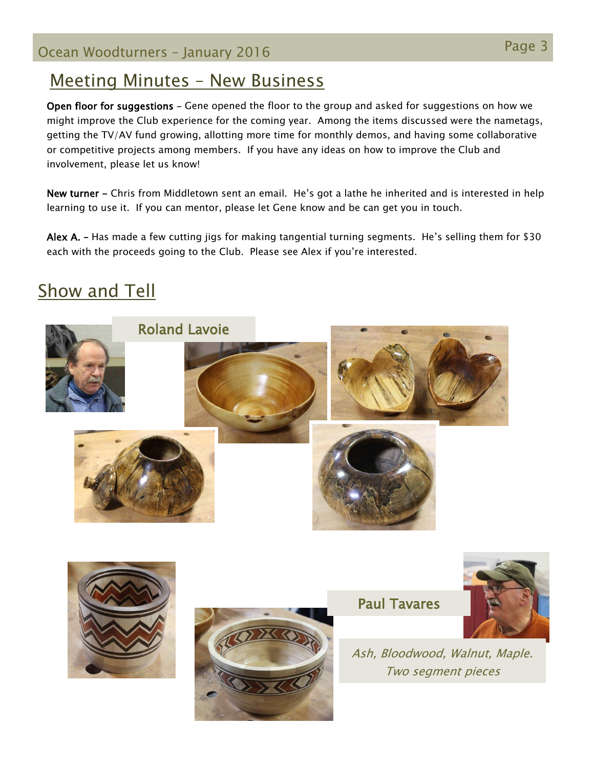## Meeting Minutes – New Business

Open floor for suggestions – Gene opened the floor to the group and asked for suggestions on how we might improve the Club experience for the coming year. Among the items discussed were the nametags, getting the TV/AV fund growing, allotting more time for monthly demos, and having some collaborative or competitive projects among members. If you have any ideas on how to improve the Club and involvement, please let us know!

New turner - Chris from Middletown sent an email. He's got a lathe he inherited and is interested in help learning to use it. If you can mentor, please let Gene know and be can get you in touch.

Alex A. - Has made a few cutting jigs for making tangential turning segments. He's selling them for \$30 each with the proceeds going to the Club. Please see Alex if you're interested.

# Show and Tell







Paul Tavares



Ash, Bloodwood, Walnut, Maple. Two segment pieces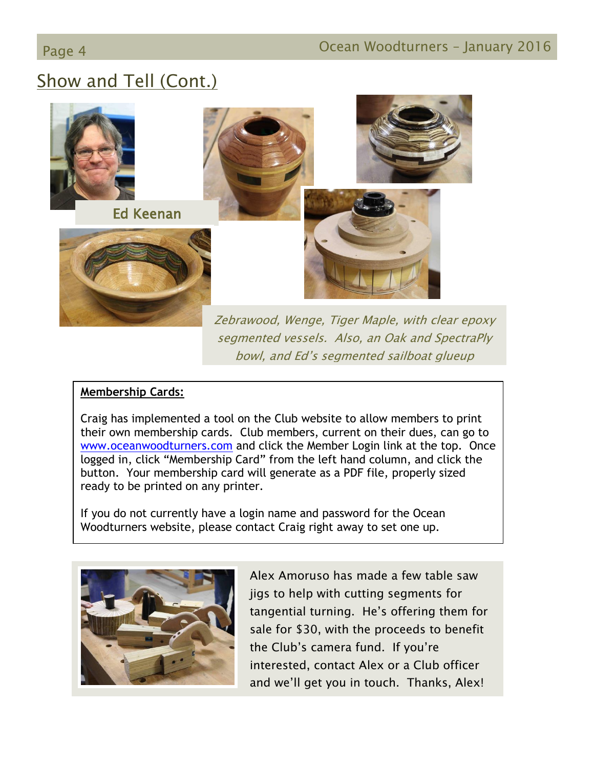# Show and Tell (Cont.)



segmented vessels. Also, an Oak and SpectraPly bowl, and Ed's segmented sailboat glueup

### **Membership Cards:**

Craig has implemented a tool on the Club website to allow members to print their own membership cards. Club members, current on their dues, can go to [www.oceanwoodturners.com](http://www.oceanwoodturners.com/) and click the Member Login link at the top. Once logged in, click "Membership Card" from the left hand column, and click the button. Your membership card will generate as a PDF file, properly sized ready to be printed on any printer.

If you do not currently have a login name and password for the Ocean Woodturners website, please contact Craig right away to set one up.



Alex Amoruso has made a few table saw jigs to help with cutting segments for tangential turning. He's offering them for sale for \$30, with the proceeds to benefit the Club's camera fund. If you're interested, contact Alex or a Club officer and we'll get you in touch. Thanks, Alex!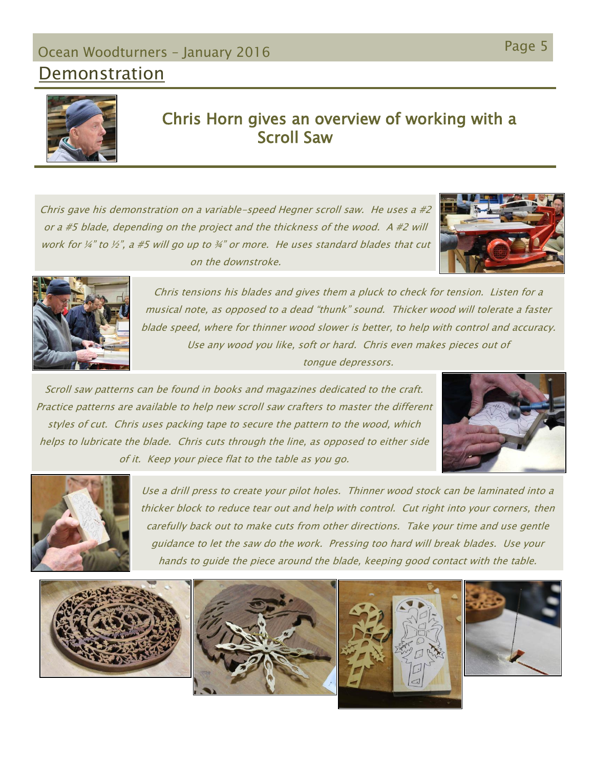## Page 5 Ocean Woodturners – January 2016

### Demonstration



### Chris Horn gives an overview of working with a Scroll Saw

Chris gave his demonstration on a variable-speed Hegner scroll saw. He uses a  $\#2$ or a #5 blade, depending on the project and the thickness of the wood. A #2 will work for  $\frac{1}{4}$ " to  $\frac{1}{2}$ ", a #5 will go up to  $\frac{3}{4}$ " or more. He uses standard blades that cut on the downstroke.





Chris tensions his blades and gives them a pluck to check for tension. Listen for a musical note, as opposed to a dead "thunk" sound. Thicker wood will tolerate a faster blade speed, where for thinner wood slower is better, to help with control and accuracy. Use any wood you like, soft or hard. Chris even makes pieces out of tongue depressors.

Scroll saw patterns can be found in books and magazines dedicated to the craft. Practice patterns are available to help new scroll saw crafters to master the different styles of cut. Chris uses packing tape to secure the pattern to the wood, which helps to lubricate the blade. Chris cuts through the line, as opposed to either side of it. Keep your piece flat to the table as you go.





Use a drill press to create your pilot holes. Thinner wood stock can be laminated into a thicker block to reduce tear out and help with control. Cut right into your corners, then carefully back out to make cuts from other directions. Take your time and use gentle guidance to let the saw do the work. Pressing too hard will break blades. Use your hands to guide the piece around the blade, keeping good contact with the table.

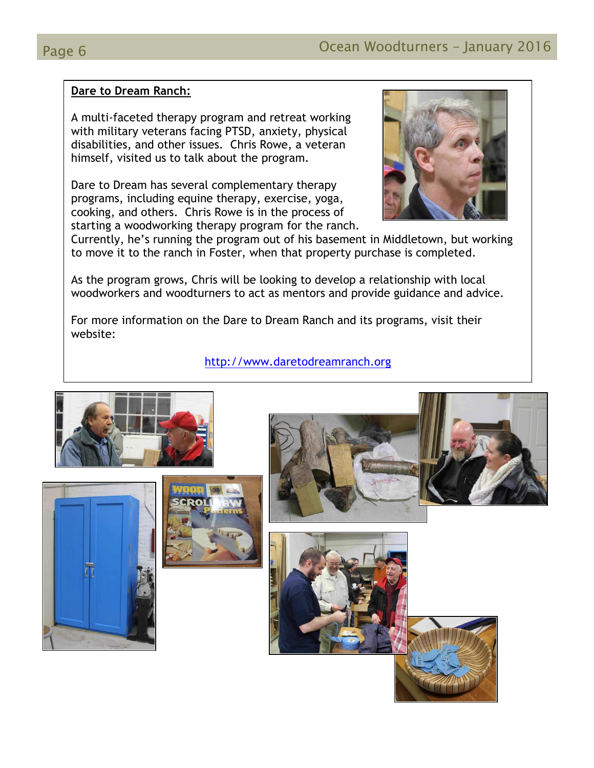#### **Dare to Dream Ranch:**

A multi-faceted therapy program and retreat working with military veterans facing PTSD, anxiety, physical disabilities, and other issues. Chris Rowe, a veteran himself, visited us to talk about the program.

Dare to Dream has several complementary therapy programs, including equine therapy, exercise, yoga, cooking, and others. Chris Rowe is in the process of starting a woodworking therapy program for the ranch.



Currently, he's running the program out of his basement in Middletown, but working to move it to the ranch in Foster, when that property purchase is completed.

As the program grows, Chris will be looking to develop a relationship with local woodworkers and woodturners to act as mentors and provide guidance and advice.

For more information on the Dare to Dream Ranch and its programs, visit their website:

#### [http://www.daretodreamranch.org](http://www.daretodreamranch.org/)